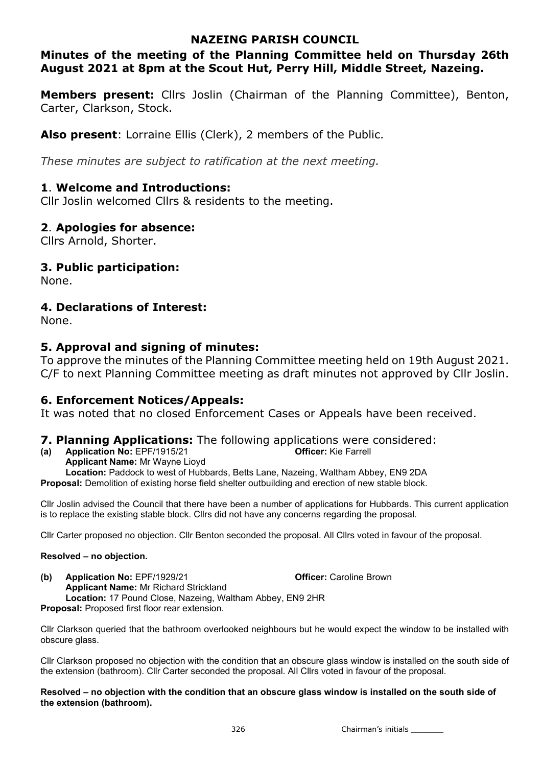## NAZEING PARISH COUNCIL

## Minutes of the meeting of the Planning Committee held on Thursday 26th August 2021 at 8pm at the Scout Hut, Perry Hill, Middle Street, Nazeing.

**Members present:** Cllrs Joslin (Chairman of the Planning Committee), Benton, Carter, Clarkson, Stock.

Also present: Lorraine Ellis (Clerk), 2 members of the Public.

These minutes are subject to ratification at the next meeting.

## 1. Welcome and Introductions:

Cllr Joslin welcomed Cllrs & residents to the meeting.

## 2. Apologies for absence:

Cllrs Arnold, Shorter.

## 3. Public participation:

None.

## 4. Declarations of Interest:

None.

## 5. Approval and signing of minutes:

To approve the minutes of the Planning Committee meeting held on 19th August 2021. C/F to next Planning Committee meeting as draft minutes not approved by Cllr Joslin.

## 6. Enforcement Notices/Appeals:

It was noted that no closed Enforcement Cases or Appeals have been received.

### **7. Planning Applications:** The following applications were considered:

(a) Application No: EPF/1915/21 Officer: Kie Farrell Applicant Name: Mr Wayne Lioyd Location: Paddock to west of Hubbards, Betts Lane, Nazeing, Waltham Abbey, EN9 2DA Proposal: Demolition of existing horse field shelter outbuilding and erection of new stable block.

Cllr Joslin advised the Council that there have been a number of applications for Hubbards. This current application is to replace the existing stable block. Cllrs did not have any concerns regarding the proposal.

Cllr Carter proposed no objection. Cllr Benton seconded the proposal. All Cllrs voted in favour of the proposal.

#### Resolved – no objection.

(b) Application No: EPF/1929/21 Officer: Caroline Brown Applicant Name: Mr Richard Strickland Location: 17 Pound Close, Nazeing, Waltham Abbey, EN9 2HR Proposal: Proposed first floor rear extension.

Cllr Clarkson queried that the bathroom overlooked neighbours but he would expect the window to be installed with obscure glass.

Cllr Clarkson proposed no objection with the condition that an obscure glass window is installed on the south side of the extension (bathroom). Cllr Carter seconded the proposal. All Cllrs voted in favour of the proposal.

Resolved – no objection with the condition that an obscure glass window is installed on the south side of the extension (bathroom).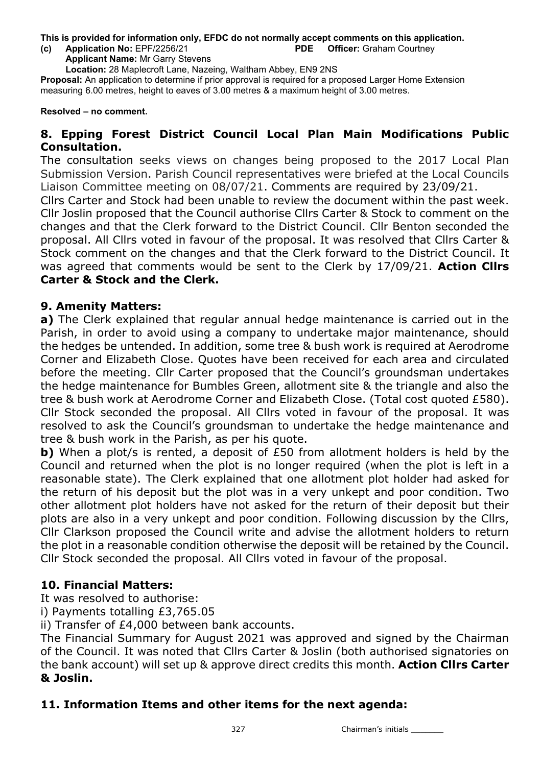This is provided for information only, EFDC do not normally accept comments on this application. (c) Application No: EPF/2256/21 PDE Officer: Graham Courtney

Applicant Name: Mr Garry Stevens

Location: 28 Maplecroft Lane, Nazeing, Waltham Abbey, EN9 2NS

Proposal: An application to determine if prior approval is required for a proposed Larger Home Extension measuring 6.00 metres, height to eaves of 3.00 metres & a maximum height of 3.00 metres.

Resolved – no comment.

## 8. Epping Forest District Council Local Plan Main Modifications Public Consultation.

The consultation seeks views on changes being proposed to the 2017 Local Plan Submission Version. Parish Council representatives were briefed at the Local Councils Liaison Committee meeting on 08/07/21. Comments are required by 23/09/21.

Cllrs Carter and Stock had been unable to review the document within the past week. Cllr Joslin proposed that the Council authorise Cllrs Carter & Stock to comment on the changes and that the Clerk forward to the District Council. Cllr Benton seconded the proposal. All Cllrs voted in favour of the proposal. It was resolved that Cllrs Carter & Stock comment on the changes and that the Clerk forward to the District Council. It was agreed that comments would be sent to the Clerk by 17/09/21. Action Clirs Carter & Stock and the Clerk.

### 9. Amenity Matters:

a) The Clerk explained that regular annual hedge maintenance is carried out in the Parish, in order to avoid using a company to undertake major maintenance, should the hedges be untended. In addition, some tree & bush work is required at Aerodrome Corner and Elizabeth Close. Quotes have been received for each area and circulated before the meeting. Cllr Carter proposed that the Council's groundsman undertakes the hedge maintenance for Bumbles Green, allotment site & the triangle and also the tree & bush work at Aerodrome Corner and Elizabeth Close. (Total cost quoted £580). Cllr Stock seconded the proposal. All Cllrs voted in favour of the proposal. It was resolved to ask the Council's groundsman to undertake the hedge maintenance and tree & bush work in the Parish, as per his quote.

b) When a plot/s is rented, a deposit of £50 from allotment holders is held by the Council and returned when the plot is no longer required (when the plot is left in a reasonable state). The Clerk explained that one allotment plot holder had asked for the return of his deposit but the plot was in a very unkept and poor condition. Two other allotment plot holders have not asked for the return of their deposit but their plots are also in a very unkept and poor condition. Following discussion by the Cllrs, Cllr Clarkson proposed the Council write and advise the allotment holders to return the plot in a reasonable condition otherwise the deposit will be retained by the Council. Cllr Stock seconded the proposal. All Cllrs voted in favour of the proposal.

## 10. Financial Matters:

It was resolved to authorise:

i) Payments totalling £3,765.05

ii) Transfer of £4,000 between bank accounts.

The Financial Summary for August 2021 was approved and signed by the Chairman of the Council. It was noted that Cllrs Carter & Joslin (both authorised signatories on the bank account) will set up & approve direct credits this month. Action Cllrs Carter & Joslin.

## 11. Information Items and other items for the next agenda: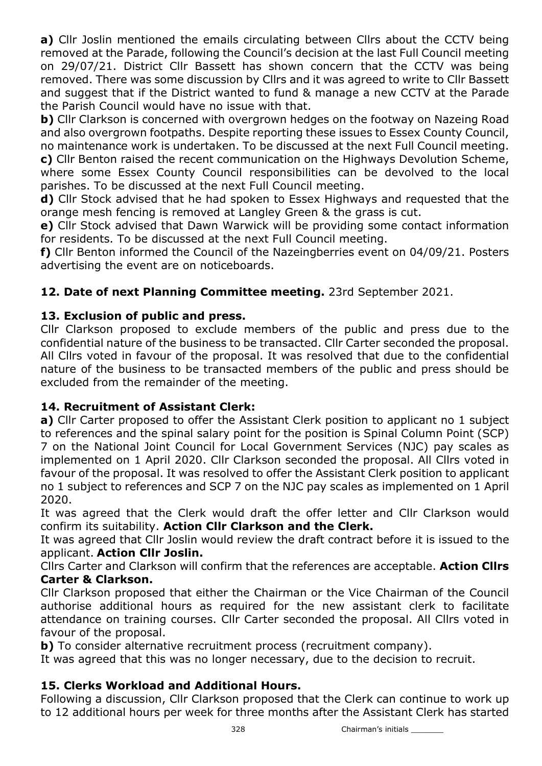a) Cllr Joslin mentioned the emails circulating between Cllrs about the CCTV being removed at the Parade, following the Council's decision at the last Full Council meeting on 29/07/21. District Cllr Bassett has shown concern that the CCTV was being removed. There was some discussion by Cllrs and it was agreed to write to Cllr Bassett and suggest that if the District wanted to fund & manage a new CCTV at the Parade the Parish Council would have no issue with that.

b) Cllr Clarkson is concerned with overgrown hedges on the footway on Nazeing Road and also overgrown footpaths. Despite reporting these issues to Essex County Council, no maintenance work is undertaken. To be discussed at the next Full Council meeting. c) Cllr Benton raised the recent communication on the Highways Devolution Scheme,

where some Essex County Council responsibilities can be devolved to the local parishes. To be discussed at the next Full Council meeting.

d) Cllr Stock advised that he had spoken to Essex Highways and requested that the orange mesh fencing is removed at Langley Green & the grass is cut.

e) Cllr Stock advised that Dawn Warwick will be providing some contact information for residents. To be discussed at the next Full Council meeting.

f) Cllr Benton informed the Council of the Nazeingberries event on 04/09/21. Posters advertising the event are on noticeboards.

# 12. Date of next Planning Committee meeting. 23rd September 2021.

# 13. Exclusion of public and press.

Cllr Clarkson proposed to exclude members of the public and press due to the confidential nature of the business to be transacted. Cllr Carter seconded the proposal. All Cllrs voted in favour of the proposal. It was resolved that due to the confidential nature of the business to be transacted members of the public and press should be excluded from the remainder of the meeting.

# 14. Recruitment of Assistant Clerk:

a) Cllr Carter proposed to offer the Assistant Clerk position to applicant no 1 subject to references and the spinal salary point for the position is Spinal Column Point (SCP) 7 on the National Joint Council for Local Government Services (NJC) pay scales as implemented on 1 April 2020. Cllr Clarkson seconded the proposal. All Cllrs voted in favour of the proposal. It was resolved to offer the Assistant Clerk position to applicant no 1 subject to references and SCP 7 on the NJC pay scales as implemented on 1 April 2020.

It was agreed that the Clerk would draft the offer letter and Cllr Clarkson would confirm its suitability. Action Cllr Clarkson and the Clerk.

It was agreed that Cllr Joslin would review the draft contract before it is issued to the applicant. Action Cllr Joslin.

Cllrs Carter and Clarkson will confirm that the references are acceptable. Action Cllrs Carter & Clarkson.

Cllr Clarkson proposed that either the Chairman or the Vice Chairman of the Council authorise additional hours as required for the new assistant clerk to facilitate attendance on training courses. Cllr Carter seconded the proposal. All Cllrs voted in favour of the proposal.

b) To consider alternative recruitment process (recruitment company).

It was agreed that this was no longer necessary, due to the decision to recruit.

# 15. Clerks Workload and Additional Hours.

Following a discussion, Cllr Clarkson proposed that the Clerk can continue to work up to 12 additional hours per week for three months after the Assistant Clerk has started